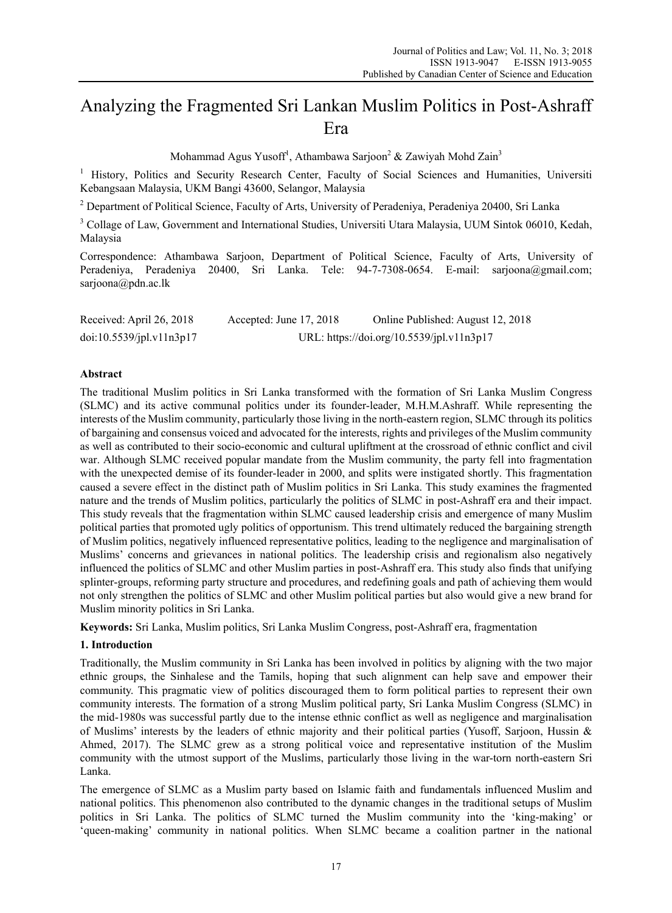# Analyzing the Fragmented Sri Lankan Muslim Politics in Post-Ashraff Era

Mohammad Agus Yusoff<sup>1</sup>, Athambawa Sarjoon<sup>2</sup> & Zawiyah Mohd Zain<sup>3</sup>

<sup>1</sup> History, Politics and Security Research Center, Faculty of Social Sciences and Humanities, Universiti Kebangsaan Malaysia, UKM Bangi 43600, Selangor, Malaysia

<sup>2</sup> Department of Political Science, Faculty of Arts, University of Peradeniya, Peradeniya 20400, Sri Lanka

<sup>3</sup> Collage of Law, Government and International Studies, Universiti Utara Malaysia, UUM Sintok 06010, Kedah, Malaysia

Correspondence: Athambawa Sarjoon, Department of Political Science, Faculty of Arts, University of Peradeniya, Peradeniya 20400, Sri Lanka. Tele: 94-7-7308-0654. E-mail: sarjoona@gmail.com; sarjoona@pdn.ac.lk

| Received: April 26, 2018 | Accepted: June $17, 2018$                 | Online Published: August 12, 2018 |
|--------------------------|-------------------------------------------|-----------------------------------|
| doi:10.5539/jpl.v11n3p17 | URL: https://doi.org/10.5539/jpl.v11n3p17 |                                   |

### **Abstract**

The traditional Muslim politics in Sri Lanka transformed with the formation of Sri Lanka Muslim Congress (SLMC) and its active communal politics under its founder-leader, M.H.M.Ashraff. While representing the interests of the Muslim community, particularly those living in the north-eastern region, SLMC through its politics of bargaining and consensus voiced and advocated for the interests, rights and privileges of the Muslim community as well as contributed to their socio-economic and cultural upliftment at the crossroad of ethnic conflict and civil war. Although SLMC received popular mandate from the Muslim community, the party fell into fragmentation with the unexpected demise of its founder-leader in 2000, and splits were instigated shortly. This fragmentation caused a severe effect in the distinct path of Muslim politics in Sri Lanka. This study examines the fragmented nature and the trends of Muslim politics, particularly the politics of SLMC in post-Ashraff era and their impact. This study reveals that the fragmentation within SLMC caused leadership crisis and emergence of many Muslim political parties that promoted ugly politics of opportunism. This trend ultimately reduced the bargaining strength of Muslim politics, negatively influenced representative politics, leading to the negligence and marginalisation of Muslims' concerns and grievances in national politics. The leadership crisis and regionalism also negatively influenced the politics of SLMC and other Muslim parties in post-Ashraff era. This study also finds that unifying splinter-groups, reforming party structure and procedures, and redefining goals and path of achieving them would not only strengthen the politics of SLMC and other Muslim political parties but also would give a new brand for Muslim minority politics in Sri Lanka.

**Keywords:** Sri Lanka, Muslim politics, Sri Lanka Muslim Congress, post-Ashraff era, fragmentation

### **1. Introduction**

Traditionally, the Muslim community in Sri Lanka has been involved in politics by aligning with the two major ethnic groups, the Sinhalese and the Tamils, hoping that such alignment can help save and empower their community. This pragmatic view of politics discouraged them to form political parties to represent their own community interests. The formation of a strong Muslim political party, Sri Lanka Muslim Congress (SLMC) in the mid-1980s was successful partly due to the intense ethnic conflict as well as negligence and marginalisation of Muslims' interests by the leaders of ethnic majority and their political parties (Yusoff, Sarjoon, Hussin & Ahmed, 2017). The SLMC grew as a strong political voice and representative institution of the Muslim community with the utmost support of the Muslims, particularly those living in the war-torn north-eastern Sri Lanka.

The emergence of SLMC as a Muslim party based on Islamic faith and fundamentals influenced Muslim and national politics. This phenomenon also contributed to the dynamic changes in the traditional setups of Muslim politics in Sri Lanka. The politics of SLMC turned the Muslim community into the 'king-making' or 'queen-making' community in national politics. When SLMC became a coalition partner in the national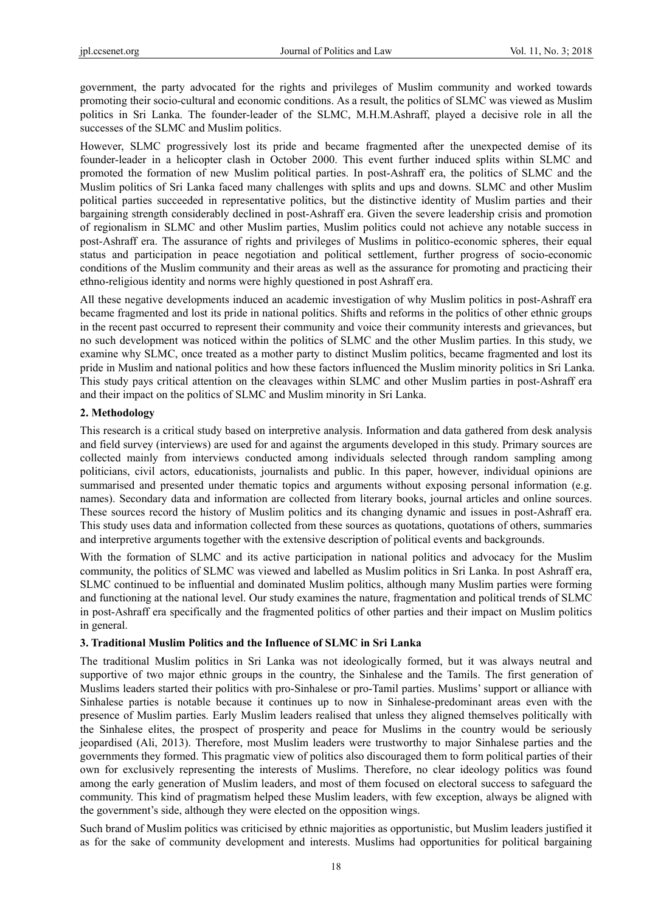government, the party advocated for the rights and privileges of Muslim community and worked towards promoting their socio-cultural and economic conditions. As a result, the politics of SLMC was viewed as Muslim politics in Sri Lanka. The founder-leader of the SLMC, M.H.M.Ashraff, played a decisive role in all the successes of the SLMC and Muslim politics.

However, SLMC progressively lost its pride and became fragmented after the unexpected demise of its founder-leader in a helicopter clash in October 2000. This event further induced splits within SLMC and promoted the formation of new Muslim political parties. In post-Ashraff era, the politics of SLMC and the Muslim politics of Sri Lanka faced many challenges with splits and ups and downs. SLMC and other Muslim political parties succeeded in representative politics, but the distinctive identity of Muslim parties and their bargaining strength considerably declined in post-Ashraff era. Given the severe leadership crisis and promotion of regionalism in SLMC and other Muslim parties, Muslim politics could not achieve any notable success in post-Ashraff era. The assurance of rights and privileges of Muslims in politico-economic spheres, their equal status and participation in peace negotiation and political settlement, further progress of socio-economic conditions of the Muslim community and their areas as well as the assurance for promoting and practicing their ethno-religious identity and norms were highly questioned in post Ashraff era.

All these negative developments induced an academic investigation of why Muslim politics in post-Ashraff era became fragmented and lost its pride in national politics. Shifts and reforms in the politics of other ethnic groups in the recent past occurred to represent their community and voice their community interests and grievances, but no such development was noticed within the politics of SLMC and the other Muslim parties. In this study, we examine why SLMC, once treated as a mother party to distinct Muslim politics, became fragmented and lost its pride in Muslim and national politics and how these factors influenced the Muslim minority politics in Sri Lanka. This study pays critical attention on the cleavages within SLMC and other Muslim parties in post-Ashraff era and their impact on the politics of SLMC and Muslim minority in Sri Lanka.

### **2. Methodology**

This research is a critical study based on interpretive analysis. Information and data gathered from desk analysis and field survey (interviews) are used for and against the arguments developed in this study. Primary sources are collected mainly from interviews conducted among individuals selected through random sampling among politicians, civil actors, educationists, journalists and public. In this paper, however, individual opinions are summarised and presented under thematic topics and arguments without exposing personal information (e.g. names). Secondary data and information are collected from literary books, journal articles and online sources. These sources record the history of Muslim politics and its changing dynamic and issues in post-Ashraff era. This study uses data and information collected from these sources as quotations, quotations of others, summaries and interpretive arguments together with the extensive description of political events and backgrounds.

With the formation of SLMC and its active participation in national politics and advocacy for the Muslim community, the politics of SLMC was viewed and labelled as Muslim politics in Sri Lanka. In post Ashraff era, SLMC continued to be influential and dominated Muslim politics, although many Muslim parties were forming and functioning at the national level. Our study examines the nature, fragmentation and political trends of SLMC in post-Ashraff era specifically and the fragmented politics of other parties and their impact on Muslim politics in general.

### **3. Traditional Muslim Politics and the Influence of SLMC in Sri Lanka**

The traditional Muslim politics in Sri Lanka was not ideologically formed, but it was always neutral and supportive of two major ethnic groups in the country, the Sinhalese and the Tamils. The first generation of Muslims leaders started their politics with pro-Sinhalese or pro-Tamil parties. Muslims' support or alliance with Sinhalese parties is notable because it continues up to now in Sinhalese-predominant areas even with the presence of Muslim parties. Early Muslim leaders realised that unless they aligned themselves politically with the Sinhalese elites, the prospect of prosperity and peace for Muslims in the country would be seriously jeopardised (Ali, 2013). Therefore, most Muslim leaders were trustworthy to major Sinhalese parties and the governments they formed. This pragmatic view of politics also discouraged them to form political parties of their own for exclusively representing the interests of Muslims. Therefore, no clear ideology politics was found among the early generation of Muslim leaders, and most of them focused on electoral success to safeguard the community. This kind of pragmatism helped these Muslim leaders, with few exception, always be aligned with the government's side, although they were elected on the opposition wings.

Such brand of Muslim politics was criticised by ethnic majorities as opportunistic, but Muslim leaders justified it as for the sake of community development and interests. Muslims had opportunities for political bargaining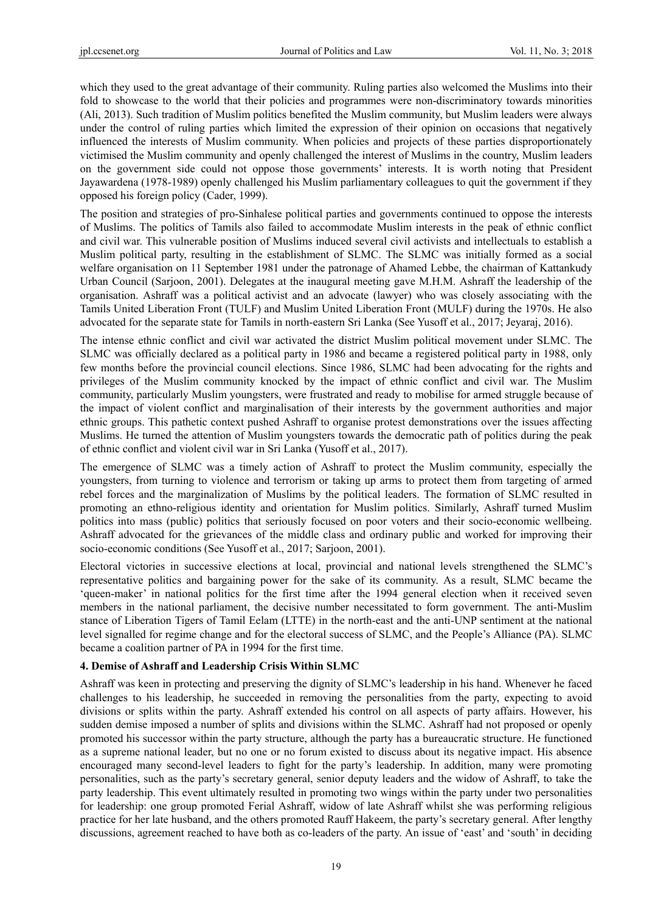which they used to the great advantage of their community. Ruling parties also welcomed the Muslims into their fold to showcase to the world that their policies and programmes were non-discriminatory towards minorities (Ali, 2013). Such tradition of Muslim politics benefited the Muslim community, but Muslim leaders were always under the control of ruling parties which limited the expression of their opinion on occasions that negatively influenced the interests of Muslim community. When policies and projects of these parties disproportionately victimised the Muslim community and openly challenged the interest of Muslims in the country, Muslim leaders on the government side could not oppose those governments' interests. It is worth noting that President Jayawardena (1978-1989) openly challenged his Muslim parliamentary colleagues to quit the government if they opposed his foreign policy (Cader, 1999).

The position and strategies of pro-Sinhalese political parties and governments continued to oppose the interests of Muslims. The politics of Tamils also failed to accommodate Muslim interests in the peak of ethnic conflict and civil war. This vulnerable position of Muslims induced several civil activists and intellectuals to establish a Muslim political party, resulting in the establishment of SLMC. The SLMC was initially formed as a social welfare organisation on 11 September 1981 under the patronage of Ahamed Lebbe, the chairman of Kattankudy Urban Council (Sarjoon, 2001). Delegates at the inaugural meeting gave M.H.M. Ashraff the leadership of the organisation. Ashraff was a political activist and an advocate (lawyer) who was closely associating with the Tamils United Liberation Front (TULF) and Muslim United Liberation Front (MULF) during the 1970s. He also advocated for the separate state for Tamils in north-eastern Sri Lanka (See Yusoff et al., 2017; Jeyaraj, 2016).

The intense ethnic conflict and civil war activated the district Muslim political movement under SLMC. The SLMC was officially declared as a political party in 1986 and became a registered political party in 1988, only few months before the provincial council elections. Since 1986, SLMC had been advocating for the rights and privileges of the Muslim community knocked by the impact of ethnic conflict and civil war. The Muslim community, particularly Muslim youngsters, were frustrated and ready to mobilise for armed struggle because of the impact of violent conflict and marginalisation of their interests by the government authorities and major ethnic groups. This pathetic context pushed Ashraff to organise protest demonstrations over the issues affecting Muslims. He turned the attention of Muslim youngsters towards the democratic path of politics during the peak of ethnic conflict and violent civil war in Sri Lanka (Yusoff et al., 2017).

The emergence of SLMC was a timely action of Ashraff to protect the Muslim community, especially the youngsters, from turning to violence and terrorism or taking up arms to protect them from targeting of armed rebel forces and the marginalization of Muslims by the political leaders. The formation of SLMC resulted in promoting an ethno-religious identity and orientation for Muslim politics. Similarly, Ashraff turned Muslim politics into mass (public) politics that seriously focused on poor voters and their socio-economic wellbeing. Ashraff advocated for the grievances of the middle class and ordinary public and worked for improving their socio-economic conditions (See Yusoff et al., 2017; Sarjoon, 2001).

Electoral victories in successive elections at local, provincial and national levels strengthened the SLMC's representative politics and bargaining power for the sake of its community. As a result, SLMC became the 'queen-maker' in national politics for the first time after the 1994 general election when it received seven members in the national parliament, the decisive number necessitated to form government. The anti-Muslim stance of Liberation Tigers of Tamil Eelam (LTTE) in the north-east and the anti-UNP sentiment at the national level signalled for regime change and for the electoral success of SLMC, and the People's Alliance (PA). SLMC became a coalition partner of PA in 1994 for the first time.

# **4. Demise of Ashraff and Leadership Crisis Within SLMC**

Ashraff was keen in protecting and preserving the dignity of SLMC's leadership in his hand. Whenever he faced challenges to his leadership, he succeeded in removing the personalities from the party, expecting to avoid divisions or splits within the party. Ashraff extended his control on all aspects of party affairs. However, his sudden demise imposed a number of splits and divisions within the SLMC. Ashraff had not proposed or openly promoted his successor within the party structure, although the party has a bureaucratic structure. He functioned as a supreme national leader, but no one or no forum existed to discuss about its negative impact. His absence encouraged many second-level leaders to fight for the party's leadership. In addition, many were promoting personalities, such as the party's secretary general, senior deputy leaders and the widow of Ashraff, to take the party leadership. This event ultimately resulted in promoting two wings within the party under two personalities for leadership: one group promoted Ferial Ashraff, widow of late Ashraff whilst she was performing religious practice for her late husband, and the others promoted Rauff Hakeem, the party's secretary general. After lengthy discussions, agreement reached to have both as co-leaders of the party. An issue of 'east' and 'south' in deciding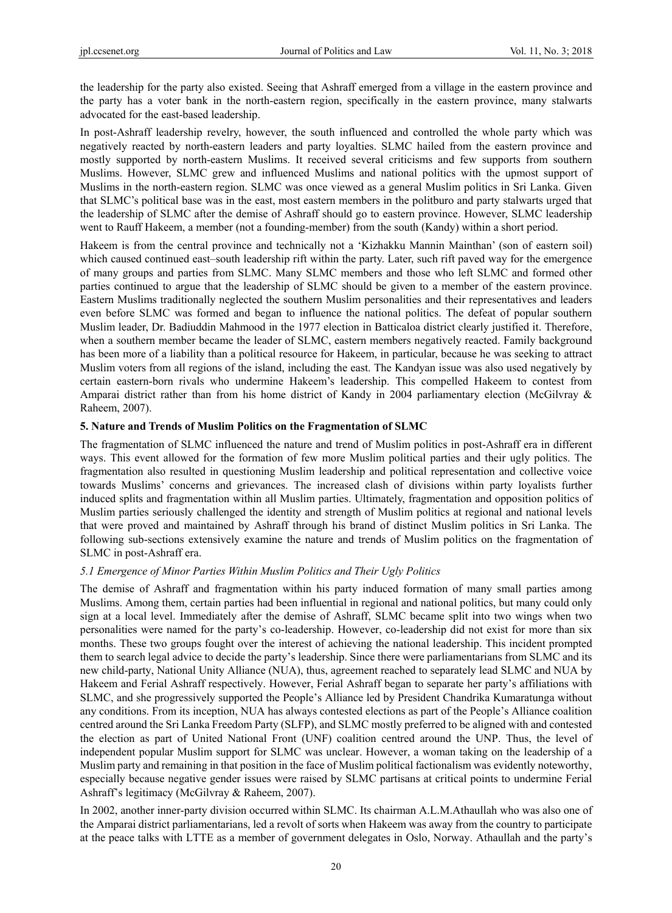the leadership for the party also existed. Seeing that Ashraff emerged from a village in the eastern province and the party has a voter bank in the north-eastern region, specifically in the eastern province, many stalwarts advocated for the east-based leadership.

In post-Ashraff leadership revelry, however, the south influenced and controlled the whole party which was negatively reacted by north-eastern leaders and party loyalties. SLMC hailed from the eastern province and mostly supported by north-eastern Muslims. It received several criticisms and few supports from southern Muslims. However, SLMC grew and influenced Muslims and national politics with the upmost support of Muslims in the north-eastern region. SLMC was once viewed as a general Muslim politics in Sri Lanka. Given that SLMC's political base was in the east, most eastern members in the politburo and party stalwarts urged that the leadership of SLMC after the demise of Ashraff should go to eastern province. However, SLMC leadership went to Rauff Hakeem, a member (not a founding-member) from the south (Kandy) within a short period.

Hakeem is from the central province and technically not a 'Kizhakku Mannin Mainthan' (son of eastern soil) which caused continued east–south leadership rift within the party. Later, such rift paved way for the emergence of many groups and parties from SLMC. Many SLMC members and those who left SLMC and formed other parties continued to argue that the leadership of SLMC should be given to a member of the eastern province. Eastern Muslims traditionally neglected the southern Muslim personalities and their representatives and leaders even before SLMC was formed and began to influence the national politics. The defeat of popular southern Muslim leader, Dr. Badiuddin Mahmood in the 1977 election in Batticaloa district clearly justified it. Therefore, when a southern member became the leader of SLMC, eastern members negatively reacted. Family background has been more of a liability than a political resource for Hakeem, in particular, because he was seeking to attract Muslim voters from all regions of the island, including the east. The Kandyan issue was also used negatively by certain eastern-born rivals who undermine Hakeem's leadership. This compelled Hakeem to contest from Amparai district rather than from his home district of Kandy in 2004 parliamentary election (McGilvray & Raheem, 2007).

### **5. Nature and Trends of Muslim Politics on the Fragmentation of SLMC**

The fragmentation of SLMC influenced the nature and trend of Muslim politics in post-Ashraff era in different ways. This event allowed for the formation of few more Muslim political parties and their ugly politics. The fragmentation also resulted in questioning Muslim leadership and political representation and collective voice towards Muslims' concerns and grievances. The increased clash of divisions within party loyalists further induced splits and fragmentation within all Muslim parties. Ultimately, fragmentation and opposition politics of Muslim parties seriously challenged the identity and strength of Muslim politics at regional and national levels that were proved and maintained by Ashraff through his brand of distinct Muslim politics in Sri Lanka. The following sub-sections extensively examine the nature and trends of Muslim politics on the fragmentation of SLMC in post-Ashraff era.

### *5.1 Emergence of Minor Parties Within Muslim Politics and Their Ugly Politics*

The demise of Ashraff and fragmentation within his party induced formation of many small parties among Muslims. Among them, certain parties had been influential in regional and national politics, but many could only sign at a local level. Immediately after the demise of Ashraff, SLMC became split into two wings when two personalities were named for the party's co-leadership. However, co-leadership did not exist for more than six months. These two groups fought over the interest of achieving the national leadership. This incident prompted them to search legal advice to decide the party's leadership. Since there were parliamentarians from SLMC and its new child-party, National Unity Alliance (NUA), thus, agreement reached to separately lead SLMC and NUA by Hakeem and Ferial Ashraff respectively. However, Ferial Ashraff began to separate her party's affiliations with SLMC, and she progressively supported the People's Alliance led by President Chandrika Kumaratunga without any conditions. From its inception, NUA has always contested elections as part of the People's Alliance coalition centred around the Sri Lanka Freedom Party (SLFP), and SLMC mostly preferred to be aligned with and contested the election as part of United National Front (UNF) coalition centred around the UNP. Thus, the level of independent popular Muslim support for SLMC was unclear. However, a woman taking on the leadership of a Muslim party and remaining in that position in the face of Muslim political factionalism was evidently noteworthy, especially because negative gender issues were raised by SLMC partisans at critical points to undermine Ferial Ashraff's legitimacy (McGilvray & Raheem, 2007).

In 2002, another inner-party division occurred within SLMC. Its chairman A.L.M.Athaullah who was also one of the Amparai district parliamentarians, led a revolt of sorts when Hakeem was away from the country to participate at the peace talks with LTTE as a member of government delegates in Oslo, Norway. Athaullah and the party's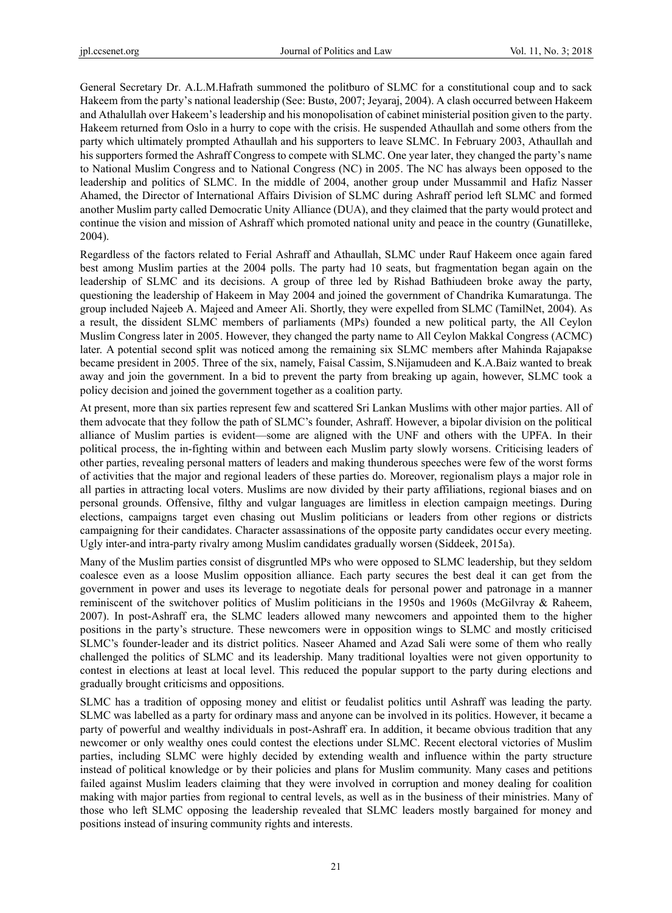General Secretary Dr. A.L.M.Hafrath summoned the politburo of SLMC for a constitutional coup and to sack Hakeem from the party's national leadership (See: Bustø, 2007; Jeyaraj, 2004). A clash occurred between Hakeem and Athalullah over Hakeem's leadership and his monopolisation of cabinet ministerial position given to the party. Hakeem returned from Oslo in a hurry to cope with the crisis. He suspended Athaullah and some others from the party which ultimately prompted Athaullah and his supporters to leave SLMC. In February 2003, Athaullah and his supporters formed the Ashraff Congress to compete with SLMC. One year later, they changed the party's name to National Muslim Congress and to National Congress (NC) in 2005. The NC has always been opposed to the leadership and politics of SLMC. In the middle of 2004, another group under Mussammil and Hafiz Nasser Ahamed, the Director of International Affairs Division of SLMC during Ashraff period left SLMC and formed another Muslim party called Democratic Unity Alliance (DUA), and they claimed that the party would protect and continue the vision and mission of Ashraff which promoted national unity and peace in the country (Gunatilleke, 2004).

Regardless of the factors related to Ferial Ashraff and Athaullah, SLMC under Rauf Hakeem once again fared best among Muslim parties at the 2004 polls. The party had 10 seats, but fragmentation began again on the leadership of SLMC and its decisions. A group of three led by Rishad Bathiudeen broke away the party, questioning the leadership of Hakeem in May 2004 and joined the government of Chandrika Kumaratunga. The group included Najeeb A. Majeed and Ameer Ali. Shortly, they were expelled from SLMC (TamilNet, 2004). As a result, the dissident SLMC members of parliaments (MPs) founded a new political party, the All Ceylon Muslim Congress later in 2005. However, they changed the party name to All Ceylon Makkal Congress (ACMC) later. A potential second split was noticed among the remaining six SLMC members after Mahinda Rajapakse became president in 2005. Three of the six, namely, Faisal Cassim, S.Nijamudeen and K.A.Baiz wanted to break away and join the government. In a bid to prevent the party from breaking up again, however, SLMC took a policy decision and joined the government together as a coalition party.

At present, more than six parties represent few and scattered Sri Lankan Muslims with other major parties. All of them advocate that they follow the path of SLMC's founder, Ashraff. However, a bipolar division on the political alliance of Muslim parties is evident—some are aligned with the UNF and others with the UPFA. In their political process, the in-fighting within and between each Muslim party slowly worsens. Criticising leaders of other parties, revealing personal matters of leaders and making thunderous speeches were few of the worst forms of activities that the major and regional leaders of these parties do. Moreover, regionalism plays a major role in all parties in attracting local voters. Muslims are now divided by their party affiliations, regional biases and on personal grounds. Offensive, filthy and vulgar languages are limitless in election campaign meetings. During elections, campaigns target even chasing out Muslim politicians or leaders from other regions or districts campaigning for their candidates. Character assassinations of the opposite party candidates occur every meeting. Ugly inter-and intra-party rivalry among Muslim candidates gradually worsen (Siddeek, 2015a).

Many of the Muslim parties consist of disgruntled MPs who were opposed to SLMC leadership, but they seldom coalesce even as a loose Muslim opposition alliance. Each party secures the best deal it can get from the government in power and uses its leverage to negotiate deals for personal power and patronage in a manner reminiscent of the switchover politics of Muslim politicians in the 1950s and 1960s (McGilvray & Raheem, 2007). In post-Ashraff era, the SLMC leaders allowed many newcomers and appointed them to the higher positions in the party's structure. These newcomers were in opposition wings to SLMC and mostly criticised SLMC's founder-leader and its district politics. Naseer Ahamed and Azad Sali were some of them who really challenged the politics of SLMC and its leadership. Many traditional loyalties were not given opportunity to contest in elections at least at local level. This reduced the popular support to the party during elections and gradually brought criticisms and oppositions.

SLMC has a tradition of opposing money and elitist or feudalist politics until Ashraff was leading the party. SLMC was labelled as a party for ordinary mass and anyone can be involved in its politics. However, it became a party of powerful and wealthy individuals in post-Ashraff era. In addition, it became obvious tradition that any newcomer or only wealthy ones could contest the elections under SLMC. Recent electoral victories of Muslim parties, including SLMC were highly decided by extending wealth and influence within the party structure instead of political knowledge or by their policies and plans for Muslim community. Many cases and petitions failed against Muslim leaders claiming that they were involved in corruption and money dealing for coalition making with major parties from regional to central levels, as well as in the business of their ministries. Many of those who left SLMC opposing the leadership revealed that SLMC leaders mostly bargained for money and positions instead of insuring community rights and interests.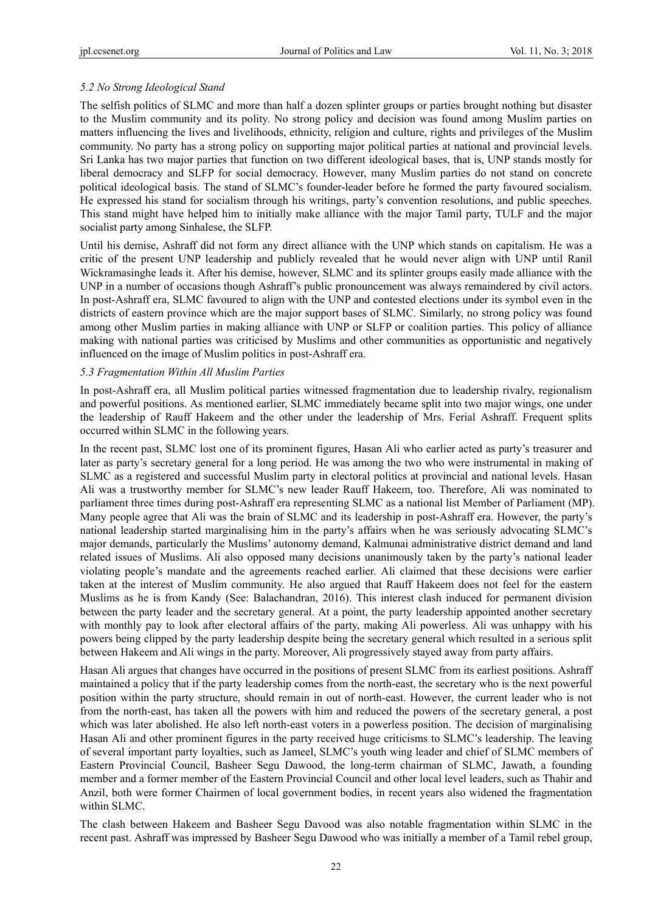## *5.2 No Strong Ideological Stand*

The selfish politics of SLMC and more than half a dozen splinter groups or parties brought nothing but disaster to the Muslim community and its polity. No strong policy and decision was found among Muslim parties on matters influencing the lives and livelihoods, ethnicity, religion and culture, rights and privileges of the Muslim community. No party has a strong policy on supporting major political parties at national and provincial levels. Sri Lanka has two major parties that function on two different ideological bases, that is, UNP stands mostly for liberal democracy and SLFP for social democracy. However, many Muslim parties do not stand on concrete political ideological basis. The stand of SLMC's founder-leader before he formed the party favoured socialism. He expressed his stand for socialism through his writings, party's convention resolutions, and public speeches. This stand might have helped him to initially make alliance with the major Tamil party, TULF and the major socialist party among Sinhalese, the SLFP.

Until his demise, Ashraff did not form any direct alliance with the UNP which stands on capitalism. He was a critic of the present UNP leadership and publicly revealed that he would never align with UNP until Ranil Wickramasinghe leads it. After his demise, however, SLMC and its splinter groups easily made alliance with the UNP in a number of occasions though Ashraff's public pronouncement was always remaindered by civil actors. In post-Ashraff era, SLMC favoured to align with the UNP and contested elections under its symbol even in the districts of eastern province which are the major support bases of SLMC. Similarly, no strong policy was found among other Muslim parties in making alliance with UNP or SLFP or coalition parties. This policy of alliance making with national parties was criticised by Muslims and other communities as opportunistic and negatively influenced on the image of Muslim politics in post-Ashraff era.

### *5.3 Fragmentation Within All Muslim Parties*

In post-Ashraff era, all Muslim political parties witnessed fragmentation due to leadership rivalry, regionalism and powerful positions. As mentioned earlier, SLMC immediately became split into two major wings, one under the leadership of Rauff Hakeem and the other under the leadership of Mrs. Ferial Ashraff. Frequent splits occurred within SLMC in the following years.

In the recent past, SLMC lost one of its prominent figures, Hasan Ali who earlier acted as party's treasurer and later as party's secretary general for a long period. He was among the two who were instrumental in making of SLMC as a registered and successful Muslim party in electoral politics at provincial and national levels. Hasan Ali was a trustworthy member for SLMC's new leader Rauff Hakeem, too. Therefore, Ali was nominated to parliament three times during post-Ashraff era representing SLMC as a national list Member of Parliament (MP). Many people agree that Ali was the brain of SLMC and its leadership in post-Ashraff era. However, the party's national leadership started marginalising him in the party's affairs when he was seriously advocating SLMC's major demands, particularly the Muslims' autonomy demand, Kalmunai administrative district demand and land related issues of Muslims. Ali also opposed many decisions unanimously taken by the party's national leader violating people's mandate and the agreements reached earlier. Ali claimed that these decisions were earlier taken at the interest of Muslim community. He also argued that Rauff Hakeem does not feel for the eastern Muslims as he is from Kandy (See: Balachandran, 2016). This interest clash induced for permanent division between the party leader and the secretary general. At a point, the party leadership appointed another secretary with monthly pay to look after electoral affairs of the party, making Ali powerless. Ali was unhappy with his powers being clipped by the party leadership despite being the secretary general which resulted in a serious split between Hakeem and Ali wings in the party. Moreover, Ali progressively stayed away from party affairs.

Hasan Ali argues that changes have occurred in the positions of present SLMC from its earliest positions. Ashraff maintained a policy that if the party leadership comes from the north-east, the secretary who is the next powerful position within the party structure, should remain in out of north-east. However, the current leader who is not from the north-east, has taken all the powers with him and reduced the powers of the secretary general, a post which was later abolished. He also left north-east voters in a powerless position. The decision of marginalising Hasan Ali and other prominent figures in the party received huge criticisms to SLMC's leadership. The leaving of several important party loyalties, such as Jameel, SLMC's youth wing leader and chief of SLMC members of Eastern Provincial Council, Basheer Segu Dawood, the long-term chairman of SLMC, Jawath, a founding member and a former member of the Eastern Provincial Council and other local level leaders, such as Thahir and Anzil, both were former Chairmen of local government bodies, in recent years also widened the fragmentation within SLMC.

The clash between Hakeem and Basheer Segu Davood was also notable fragmentation within SLMC in the recent past. Ashraff was impressed by Basheer Segu Dawood who was initially a member of a Tamil rebel group,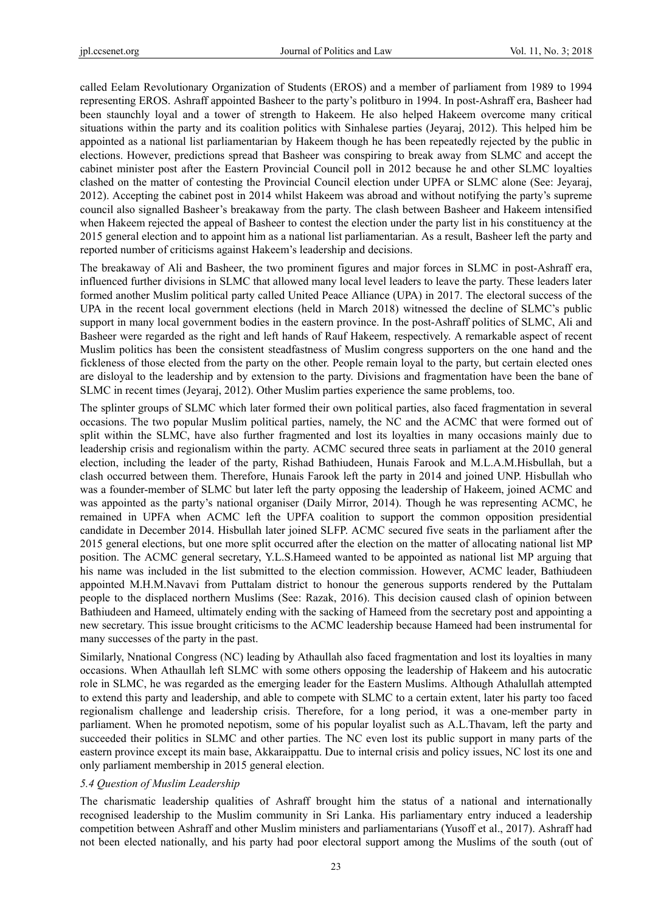called Eelam Revolutionary Organization of Students (EROS) and a member of parliament from 1989 to 1994 representing EROS. Ashraff appointed Basheer to the party's politburo in 1994. In post-Ashraff era, Basheer had been staunchly loyal and a tower of strength to Hakeem. He also helped Hakeem overcome many critical situations within the party and its coalition politics with Sinhalese parties (Jeyaraj, 2012). This helped him be appointed as a national list parliamentarian by Hakeem though he has been repeatedly rejected by the public in elections. However, predictions spread that Basheer was conspiring to break away from SLMC and accept the cabinet minister post after the Eastern Provincial Council poll in 2012 because he and other SLMC loyalties clashed on the matter of contesting the Provincial Council election under UPFA or SLMC alone (See: Jeyaraj, 2012). Accepting the cabinet post in 2014 whilst Hakeem was abroad and without notifying the party's supreme council also signalled Basheer's breakaway from the party. The clash between Basheer and Hakeem intensified when Hakeem rejected the appeal of Basheer to contest the election under the party list in his constituency at the 2015 general election and to appoint him as a national list parliamentarian. As a result, Basheer left the party and reported number of criticisms against Hakeem's leadership and decisions.

The breakaway of Ali and Basheer, the two prominent figures and major forces in SLMC in post-Ashraff era, influenced further divisions in SLMC that allowed many local level leaders to leave the party. These leaders later formed another Muslim political party called United Peace Alliance (UPA) in 2017. The electoral success of the UPA in the recent local government elections (held in March 2018) witnessed the decline of SLMC's public support in many local government bodies in the eastern province. In the post-Ashraff politics of SLMC, Ali and Basheer were regarded as the right and left hands of Rauf Hakeem, respectively. A remarkable aspect of recent Muslim politics has been the consistent steadfastness of Muslim congress supporters on the one hand and the fickleness of those elected from the party on the other. People remain loyal to the party, but certain elected ones are disloyal to the leadership and by extension to the party. Divisions and fragmentation have been the bane of SLMC in recent times (Jeyaraj, 2012). Other Muslim parties experience the same problems, too.

The splinter groups of SLMC which later formed their own political parties, also faced fragmentation in several occasions. The two popular Muslim political parties, namely, the NC and the ACMC that were formed out of split within the SLMC, have also further fragmented and lost its loyalties in many occasions mainly due to leadership crisis and regionalism within the party. ACMC secured three seats in parliament at the 2010 general election, including the leader of the party, Rishad Bathiudeen, Hunais Farook and M.L.A.M.Hisbullah, but a clash occurred between them. Therefore, Hunais Farook left the party in 2014 and joined UNP. Hisbullah who was a founder-member of SLMC but later left the party opposing the leadership of Hakeem, joined ACMC and was appointed as the party's national organiser (Daily Mirror, 2014). Though he was representing ACMC, he remained in UPFA when ACMC left the UPFA coalition to support the common opposition presidential candidate in December 2014. Hisbullah later joined SLFP. ACMC secured five seats in the parliament after the 2015 general elections, but one more split occurred after the election on the matter of allocating national list MP position. The ACMC general secretary, Y.L.S.Hameed wanted to be appointed as national list MP arguing that his name was included in the list submitted to the election commission. However, ACMC leader, Bathiudeen appointed M.H.M.Navavi from Puttalam district to honour the generous supports rendered by the Puttalam people to the displaced northern Muslims (See: Razak, 2016). This decision caused clash of opinion between Bathiudeen and Hameed, ultimately ending with the sacking of Hameed from the secretary post and appointing a new secretary. This issue brought criticisms to the ACMC leadership because Hameed had been instrumental for many successes of the party in the past.

Similarly, Nnational Congress (NC) leading by Athaullah also faced fragmentation and lost its loyalties in many occasions. When Athaullah left SLMC with some others opposing the leadership of Hakeem and his autocratic role in SLMC, he was regarded as the emerging leader for the Eastern Muslims. Although Athalullah attempted to extend this party and leadership, and able to compete with SLMC to a certain extent, later his party too faced regionalism challenge and leadership crisis. Therefore, for a long period, it was a one-member party in parliament. When he promoted nepotism, some of his popular loyalist such as A.L.Thavam, left the party and succeeded their politics in SLMC and other parties. The NC even lost its public support in many parts of the eastern province except its main base, Akkaraippattu. Due to internal crisis and policy issues, NC lost its one and only parliament membership in 2015 general election.

# *5.4 Question of Muslim Leadership*

The charismatic leadership qualities of Ashraff brought him the status of a national and internationally recognised leadership to the Muslim community in Sri Lanka. His parliamentary entry induced a leadership competition between Ashraff and other Muslim ministers and parliamentarians (Yusoff et al., 2017). Ashraff had not been elected nationally, and his party had poor electoral support among the Muslims of the south (out of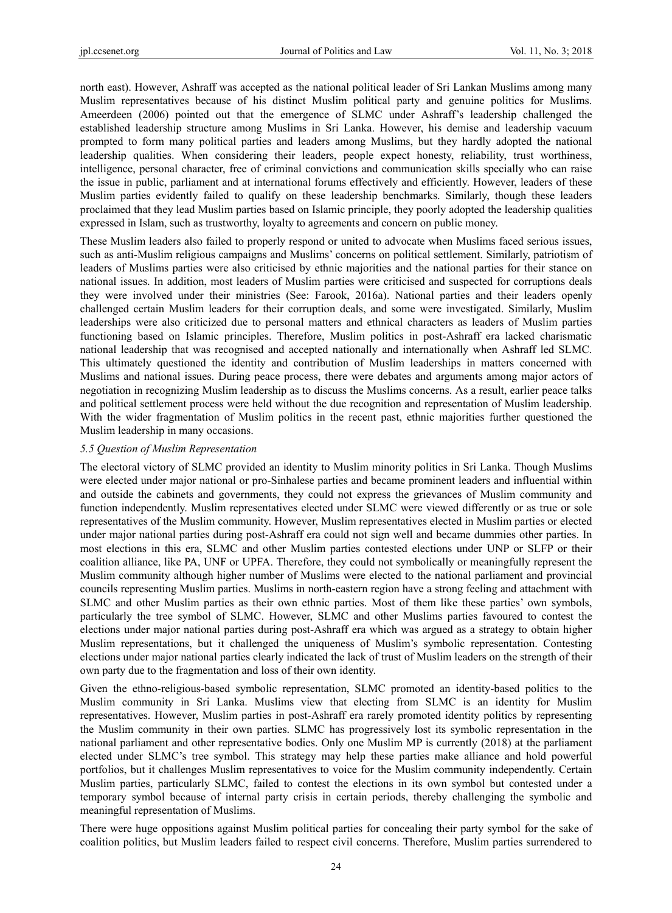north east). However, Ashraff was accepted as the national political leader of Sri Lankan Muslims among many Muslim representatives because of his distinct Muslim political party and genuine politics for Muslims. Ameerdeen (2006) pointed out that the emergence of SLMC under Ashraff's leadership challenged the established leadership structure among Muslims in Sri Lanka. However, his demise and leadership vacuum prompted to form many political parties and leaders among Muslims, but they hardly adopted the national leadership qualities. When considering their leaders, people expect honesty, reliability, trust worthiness, intelligence, personal character, free of criminal convictions and communication skills specially who can raise the issue in public, parliament and at international forums effectively and efficiently. However, leaders of these Muslim parties evidently failed to qualify on these leadership benchmarks. Similarly, though these leaders proclaimed that they lead Muslim parties based on Islamic principle, they poorly adopted the leadership qualities expressed in Islam, such as trustworthy, loyalty to agreements and concern on public money.

These Muslim leaders also failed to properly respond or united to advocate when Muslims faced serious issues, such as anti-Muslim religious campaigns and Muslims' concerns on political settlement. Similarly, patriotism of leaders of Muslims parties were also criticised by ethnic majorities and the national parties for their stance on national issues. In addition, most leaders of Muslim parties were criticised and suspected for corruptions deals they were involved under their ministries (See: Farook, 2016a). National parties and their leaders openly challenged certain Muslim leaders for their corruption deals, and some were investigated. Similarly, Muslim leaderships were also criticized due to personal matters and ethnical characters as leaders of Muslim parties functioning based on Islamic principles. Therefore, Muslim politics in post-Ashraff era lacked charismatic national leadership that was recognised and accepted nationally and internationally when Ashraff led SLMC. This ultimately questioned the identity and contribution of Muslim leaderships in matters concerned with Muslims and national issues. During peace process, there were debates and arguments among major actors of negotiation in recognizing Muslim leadership as to discuss the Muslims concerns. As a result, earlier peace talks and political settlement process were held without the due recognition and representation of Muslim leadership. With the wider fragmentation of Muslim politics in the recent past, ethnic majorities further questioned the Muslim leadership in many occasions.

### *5.5 Question of Muslim Representation*

The electoral victory of SLMC provided an identity to Muslim minority politics in Sri Lanka. Though Muslims were elected under major national or pro-Sinhalese parties and became prominent leaders and influential within and outside the cabinets and governments, they could not express the grievances of Muslim community and function independently. Muslim representatives elected under SLMC were viewed differently or as true or sole representatives of the Muslim community. However, Muslim representatives elected in Muslim parties or elected under major national parties during post-Ashraff era could not sign well and became dummies other parties. In most elections in this era, SLMC and other Muslim parties contested elections under UNP or SLFP or their coalition alliance, like PA, UNF or UPFA. Therefore, they could not symbolically or meaningfully represent the Muslim community although higher number of Muslims were elected to the national parliament and provincial councils representing Muslim parties. Muslims in north-eastern region have a strong feeling and attachment with SLMC and other Muslim parties as their own ethnic parties. Most of them like these parties' own symbols, particularly the tree symbol of SLMC. However, SLMC and other Muslims parties favoured to contest the elections under major national parties during post-Ashraff era which was argued as a strategy to obtain higher Muslim representations, but it challenged the uniqueness of Muslim's symbolic representation. Contesting elections under major national parties clearly indicated the lack of trust of Muslim leaders on the strength of their own party due to the fragmentation and loss of their own identity.

Given the ethno-religious-based symbolic representation, SLMC promoted an identity-based politics to the Muslim community in Sri Lanka. Muslims view that electing from SLMC is an identity for Muslim representatives. However, Muslim parties in post-Ashraff era rarely promoted identity politics by representing the Muslim community in their own parties. SLMC has progressively lost its symbolic representation in the national parliament and other representative bodies. Only one Muslim MP is currently (2018) at the parliament elected under SLMC's tree symbol. This strategy may help these parties make alliance and hold powerful portfolios, but it challenges Muslim representatives to voice for the Muslim community independently. Certain Muslim parties, particularly SLMC, failed to contest the elections in its own symbol but contested under a temporary symbol because of internal party crisis in certain periods, thereby challenging the symbolic and meaningful representation of Muslims.

There were huge oppositions against Muslim political parties for concealing their party symbol for the sake of coalition politics, but Muslim leaders failed to respect civil concerns. Therefore, Muslim parties surrendered to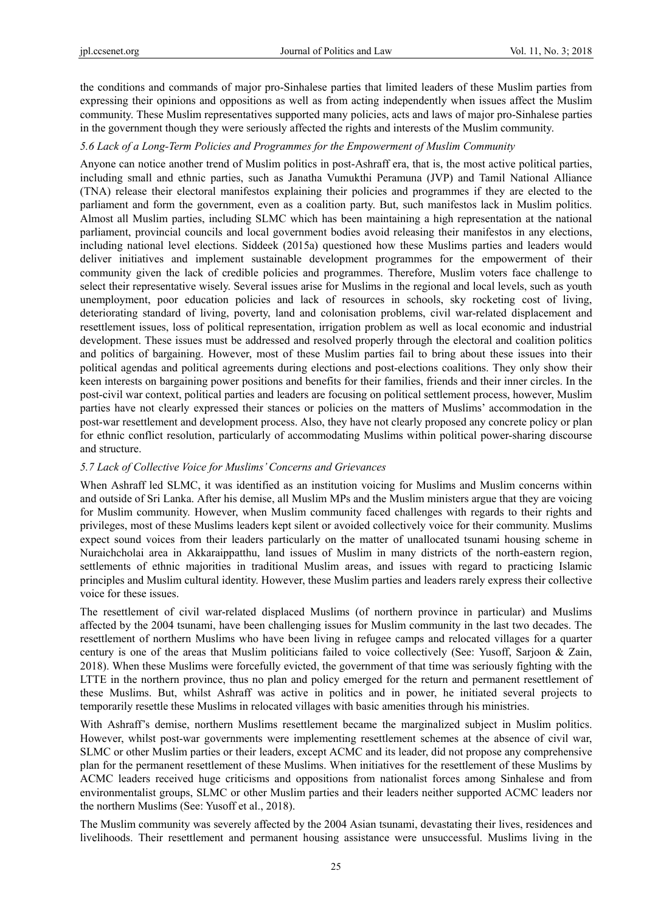the conditions and commands of major pro-Sinhalese parties that limited leaders of these Muslim parties from expressing their opinions and oppositions as well as from acting independently when issues affect the Muslim community. These Muslim representatives supported many policies, acts and laws of major pro-Sinhalese parties in the government though they were seriously affected the rights and interests of the Muslim community.

#### *5.6 Lack of a Long-Term Policies and Programmes for the Empowerment of Muslim Community*

Anyone can notice another trend of Muslim politics in post-Ashraff era, that is, the most active political parties, including small and ethnic parties, such as Janatha Vumukthi Peramuna (JVP) and Tamil National Alliance (TNA) release their electoral manifestos explaining their policies and programmes if they are elected to the parliament and form the government, even as a coalition party. But, such manifestos lack in Muslim politics. Almost all Muslim parties, including SLMC which has been maintaining a high representation at the national parliament, provincial councils and local government bodies avoid releasing their manifestos in any elections, including national level elections. Siddeek (2015a) questioned how these Muslims parties and leaders would deliver initiatives and implement sustainable development programmes for the empowerment of their community given the lack of credible policies and programmes. Therefore, Muslim voters face challenge to select their representative wisely. Several issues arise for Muslims in the regional and local levels, such as youth unemployment, poor education policies and lack of resources in schools, sky rocketing cost of living, deteriorating standard of living, poverty, land and colonisation problems, civil war-related displacement and resettlement issues, loss of political representation, irrigation problem as well as local economic and industrial development. These issues must be addressed and resolved properly through the electoral and coalition politics and politics of bargaining. However, most of these Muslim parties fail to bring about these issues into their political agendas and political agreements during elections and post-elections coalitions. They only show their keen interests on bargaining power positions and benefits for their families, friends and their inner circles. In the post-civil war context, political parties and leaders are focusing on political settlement process, however, Muslim parties have not clearly expressed their stances or policies on the matters of Muslims' accommodation in the post-war resettlement and development process. Also, they have not clearly proposed any concrete policy or plan for ethnic conflict resolution, particularly of accommodating Muslims within political power-sharing discourse and structure.

### *5.7 Lack of Collective Voice for Muslims' Concerns and Grievances*

When Ashraff led SLMC, it was identified as an institution voicing for Muslims and Muslim concerns within and outside of Sri Lanka. After his demise, all Muslim MPs and the Muslim ministers argue that they are voicing for Muslim community. However, when Muslim community faced challenges with regards to their rights and privileges, most of these Muslims leaders kept silent or avoided collectively voice for their community. Muslims expect sound voices from their leaders particularly on the matter of unallocated tsunami housing scheme in Nuraichcholai area in Akkaraippatthu, land issues of Muslim in many districts of the north-eastern region, settlements of ethnic majorities in traditional Muslim areas, and issues with regard to practicing Islamic principles and Muslim cultural identity. However, these Muslim parties and leaders rarely express their collective voice for these issues.

The resettlement of civil war-related displaced Muslims (of northern province in particular) and Muslims affected by the 2004 tsunami, have been challenging issues for Muslim community in the last two decades. The resettlement of northern Muslims who have been living in refugee camps and relocated villages for a quarter century is one of the areas that Muslim politicians failed to voice collectively (See: Yusoff, Sarjoon & Zain, 2018). When these Muslims were forcefully evicted, the government of that time was seriously fighting with the LTTE in the northern province, thus no plan and policy emerged for the return and permanent resettlement of these Muslims. But, whilst Ashraff was active in politics and in power, he initiated several projects to temporarily resettle these Muslims in relocated villages with basic amenities through his ministries.

With Ashraff's demise, northern Muslims resettlement became the marginalized subject in Muslim politics. However, whilst post-war governments were implementing resettlement schemes at the absence of civil war, SLMC or other Muslim parties or their leaders, except ACMC and its leader, did not propose any comprehensive plan for the permanent resettlement of these Muslims. When initiatives for the resettlement of these Muslims by ACMC leaders received huge criticisms and oppositions from nationalist forces among Sinhalese and from environmentalist groups, SLMC or other Muslim parties and their leaders neither supported ACMC leaders nor the northern Muslims (See: Yusoff et al., 2018).

The Muslim community was severely affected by the 2004 Asian tsunami, devastating their lives, residences and livelihoods. Their resettlement and permanent housing assistance were unsuccessful. Muslims living in the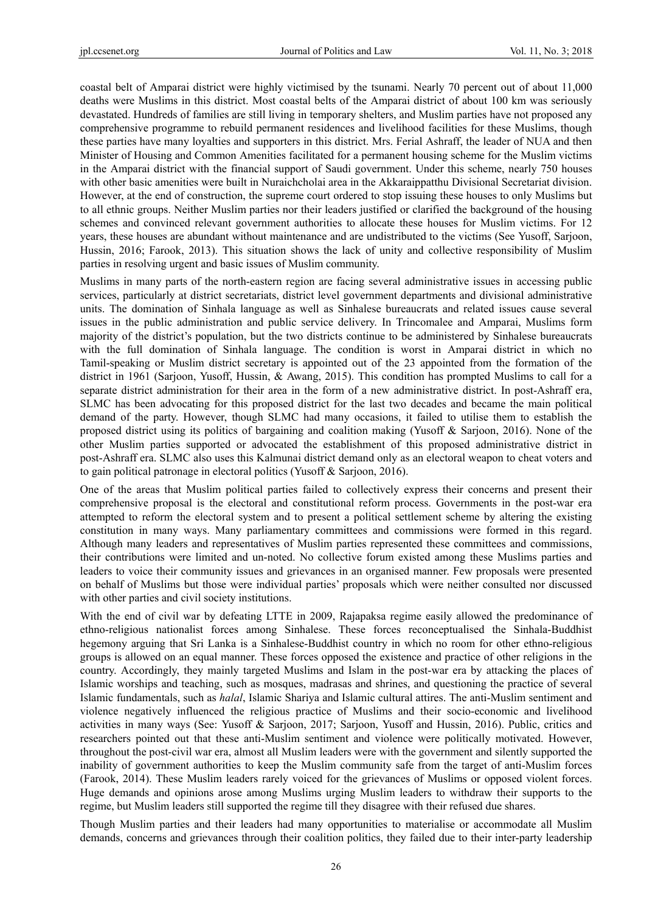coastal belt of Amparai district were highly victimised by the tsunami. Nearly 70 percent out of about 11,000 deaths were Muslims in this district. Most coastal belts of the Amparai district of about 100 km was seriously devastated. Hundreds of families are still living in temporary shelters, and Muslim parties have not proposed any comprehensive programme to rebuild permanent residences and livelihood facilities for these Muslims, though these parties have many loyalties and supporters in this district. Mrs. Ferial Ashraff, the leader of NUA and then Minister of Housing and Common Amenities facilitated for a permanent housing scheme for the Muslim victims in the Amparai district with the financial support of Saudi government. Under this scheme, nearly 750 houses with other basic amenities were built in Nuraichcholai area in the Akkaraippatthu Divisional Secretariat division. However, at the end of construction, the supreme court ordered to stop issuing these houses to only Muslims but to all ethnic groups. Neither Muslim parties nor their leaders justified or clarified the background of the housing schemes and convinced relevant government authorities to allocate these houses for Muslim victims. For 12 years, these houses are abundant without maintenance and are undistributed to the victims (See Yusoff, Sarjoon, Hussin, 2016; Farook, 2013). This situation shows the lack of unity and collective responsibility of Muslim parties in resolving urgent and basic issues of Muslim community.

Muslims in many parts of the north-eastern region are facing several administrative issues in accessing public services, particularly at district secretariats, district level government departments and divisional administrative units. The domination of Sinhala language as well as Sinhalese bureaucrats and related issues cause several issues in the public administration and public service delivery. In Trincomalee and Amparai, Muslims form majority of the district's population, but the two districts continue to be administered by Sinhalese bureaucrats with the full domination of Sinhala language. The condition is worst in Amparai district in which no Tamil-speaking or Muslim district secretary is appointed out of the 23 appointed from the formation of the district in 1961 (Sarjoon, Yusoff, Hussin, & Awang, 2015). This condition has prompted Muslims to call for a separate district administration for their area in the form of a new administrative district. In post-Ashraff era, SLMC has been advocating for this proposed district for the last two decades and became the main political demand of the party. However, though SLMC had many occasions, it failed to utilise them to establish the proposed district using its politics of bargaining and coalition making (Yusoff & Sarjoon, 2016). None of the other Muslim parties supported or advocated the establishment of this proposed administrative district in post-Ashraff era. SLMC also uses this Kalmunai district demand only as an electoral weapon to cheat voters and to gain political patronage in electoral politics (Yusoff & Sarjoon, 2016).

One of the areas that Muslim political parties failed to collectively express their concerns and present their comprehensive proposal is the electoral and constitutional reform process. Governments in the post-war era attempted to reform the electoral system and to present a political settlement scheme by altering the existing constitution in many ways. Many parliamentary committees and commissions were formed in this regard. Although many leaders and representatives of Muslim parties represented these committees and commissions, their contributions were limited and un-noted. No collective forum existed among these Muslims parties and leaders to voice their community issues and grievances in an organised manner. Few proposals were presented on behalf of Muslims but those were individual parties' proposals which were neither consulted nor discussed with other parties and civil society institutions.

With the end of civil war by defeating LTTE in 2009, Rajapaksa regime easily allowed the predominance of ethno-religious nationalist forces among Sinhalese. These forces reconceptualised the Sinhala-Buddhist hegemony arguing that Sri Lanka is a Sinhalese-Buddhist country in which no room for other ethno-religious groups is allowed on an equal manner. These forces opposed the existence and practice of other religions in the country. Accordingly, they mainly targeted Muslims and Islam in the post-war era by attacking the places of Islamic worships and teaching, such as mosques, madrasas and shrines, and questioning the practice of several Islamic fundamentals, such as *halal*, Islamic Shariya and Islamic cultural attires. The anti-Muslim sentiment and violence negatively influenced the religious practice of Muslims and their socio-economic and livelihood activities in many ways (See: Yusoff & Sarjoon, 2017; Sarjoon, Yusoff and Hussin, 2016). Public, critics and researchers pointed out that these anti-Muslim sentiment and violence were politically motivated. However, throughout the post-civil war era, almost all Muslim leaders were with the government and silently supported the inability of government authorities to keep the Muslim community safe from the target of anti-Muslim forces (Farook, 2014). These Muslim leaders rarely voiced for the grievances of Muslims or opposed violent forces. Huge demands and opinions arose among Muslims urging Muslim leaders to withdraw their supports to the regime, but Muslim leaders still supported the regime till they disagree with their refused due shares.

Though Muslim parties and their leaders had many opportunities to materialise or accommodate all Muslim demands, concerns and grievances through their coalition politics, they failed due to their inter-party leadership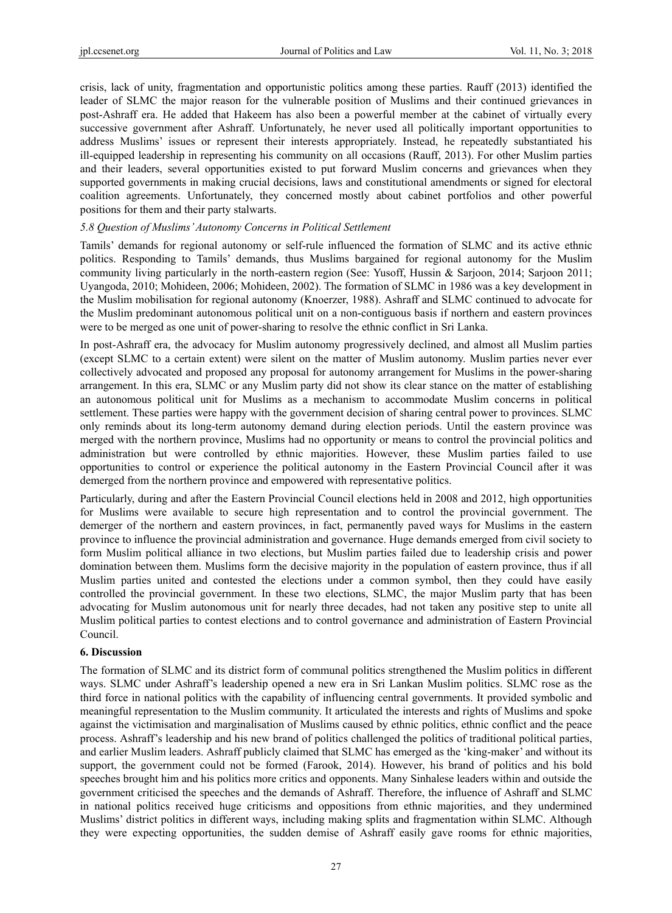crisis, lack of unity, fragmentation and opportunistic politics among these parties. Rauff (2013) identified the leader of SLMC the major reason for the vulnerable position of Muslims and their continued grievances in post-Ashraff era. He added that Hakeem has also been a powerful member at the cabinet of virtually every successive government after Ashraff. Unfortunately, he never used all politically important opportunities to address Muslims' issues or represent their interests appropriately. Instead, he repeatedly substantiated his ill-equipped leadership in representing his community on all occasions (Rauff, 2013). For other Muslim parties and their leaders, several opportunities existed to put forward Muslim concerns and grievances when they supported governments in making crucial decisions, laws and constitutional amendments or signed for electoral coalition agreements. Unfortunately, they concerned mostly about cabinet portfolios and other powerful positions for them and their party stalwarts.

#### *5.8 Question of Muslims' Autonomy Concerns in Political Settlement*

Tamils' demands for regional autonomy or self-rule influenced the formation of SLMC and its active ethnic politics. Responding to Tamils' demands, thus Muslims bargained for regional autonomy for the Muslim community living particularly in the north-eastern region (See: Yusoff, Hussin & Sarjoon, 2014; Sarjoon 2011; Uyangoda, 2010; Mohideen, 2006; Mohideen, 2002). The formation of SLMC in 1986 was a key development in the Muslim mobilisation for regional autonomy (Knoerzer, 1988). Ashraff and SLMC continued to advocate for the Muslim predominant autonomous political unit on a non-contiguous basis if northern and eastern provinces were to be merged as one unit of power-sharing to resolve the ethnic conflict in Sri Lanka.

In post-Ashraff era, the advocacy for Muslim autonomy progressively declined, and almost all Muslim parties (except SLMC to a certain extent) were silent on the matter of Muslim autonomy. Muslim parties never ever collectively advocated and proposed any proposal for autonomy arrangement for Muslims in the power-sharing arrangement. In this era, SLMC or any Muslim party did not show its clear stance on the matter of establishing an autonomous political unit for Muslims as a mechanism to accommodate Muslim concerns in political settlement. These parties were happy with the government decision of sharing central power to provinces. SLMC only reminds about its long-term autonomy demand during election periods. Until the eastern province was merged with the northern province, Muslims had no opportunity or means to control the provincial politics and administration but were controlled by ethnic majorities. However, these Muslim parties failed to use opportunities to control or experience the political autonomy in the Eastern Provincial Council after it was demerged from the northern province and empowered with representative politics.

Particularly, during and after the Eastern Provincial Council elections held in 2008 and 2012, high opportunities for Muslims were available to secure high representation and to control the provincial government. The demerger of the northern and eastern provinces, in fact, permanently paved ways for Muslims in the eastern province to influence the provincial administration and governance. Huge demands emerged from civil society to form Muslim political alliance in two elections, but Muslim parties failed due to leadership crisis and power domination between them. Muslims form the decisive majority in the population of eastern province, thus if all Muslim parties united and contested the elections under a common symbol, then they could have easily controlled the provincial government. In these two elections, SLMC, the major Muslim party that has been advocating for Muslim autonomous unit for nearly three decades, had not taken any positive step to unite all Muslim political parties to contest elections and to control governance and administration of Eastern Provincial Council.

## **6. Discussion**

The formation of SLMC and its district form of communal politics strengthened the Muslim politics in different ways. SLMC under Ashraff's leadership opened a new era in Sri Lankan Muslim politics. SLMC rose as the third force in national politics with the capability of influencing central governments. It provided symbolic and meaningful representation to the Muslim community. It articulated the interests and rights of Muslims and spoke against the victimisation and marginalisation of Muslims caused by ethnic politics, ethnic conflict and the peace process. Ashraff's leadership and his new brand of politics challenged the politics of traditional political parties, and earlier Muslim leaders. Ashraff publicly claimed that SLMC has emerged as the 'king-maker' and without its support, the government could not be formed (Farook, 2014). However, his brand of politics and his bold speeches brought him and his politics more critics and opponents. Many Sinhalese leaders within and outside the government criticised the speeches and the demands of Ashraff. Therefore, the influence of Ashraff and SLMC in national politics received huge criticisms and oppositions from ethnic majorities, and they undermined Muslims' district politics in different ways, including making splits and fragmentation within SLMC. Although they were expecting opportunities, the sudden demise of Ashraff easily gave rooms for ethnic majorities,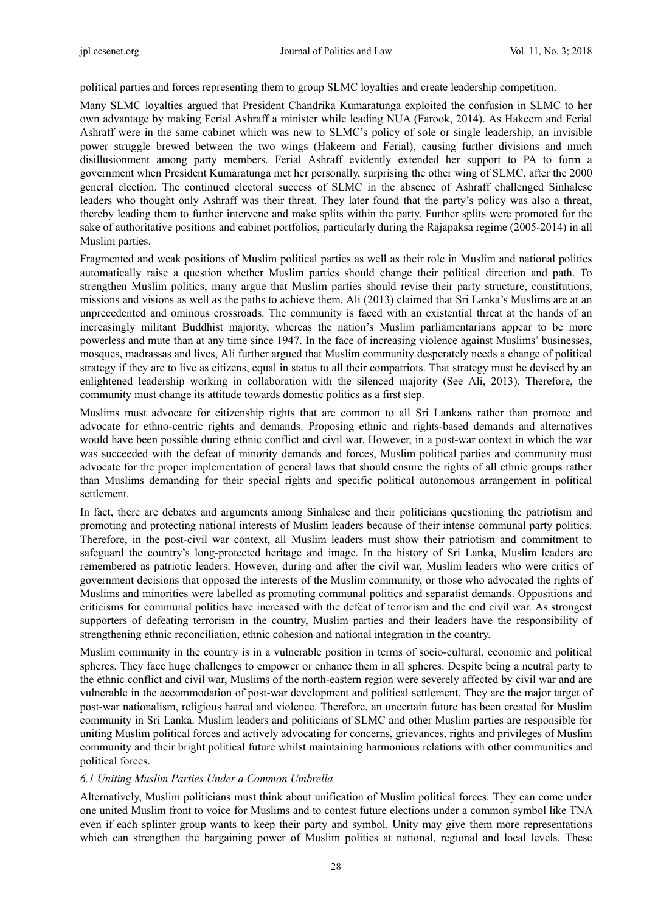political parties and forces representing them to group SLMC loyalties and create leadership competition.

Many SLMC loyalties argued that President Chandrika Kumaratunga exploited the confusion in SLMC to her own advantage by making Ferial Ashraff a minister while leading NUA (Farook, 2014). As Hakeem and Ferial Ashraff were in the same cabinet which was new to SLMC's policy of sole or single leadership, an invisible power struggle brewed between the two wings (Hakeem and Ferial), causing further divisions and much disillusionment among party members. Ferial Ashraff evidently extended her support to PA to form a government when President Kumaratunga met her personally, surprising the other wing of SLMC, after the 2000 general election. The continued electoral success of SLMC in the absence of Ashraff challenged Sinhalese leaders who thought only Ashraff was their threat. They later found that the party's policy was also a threat, thereby leading them to further intervene and make splits within the party. Further splits were promoted for the sake of authoritative positions and cabinet portfolios, particularly during the Rajapaksa regime (2005-2014) in all Muslim parties.

Fragmented and weak positions of Muslim political parties as well as their role in Muslim and national politics automatically raise a question whether Muslim parties should change their political direction and path. To strengthen Muslim politics, many argue that Muslim parties should revise their party structure, constitutions, missions and visions as well as the paths to achieve them. Ali (2013) claimed that Sri Lanka's Muslims are at an unprecedented and ominous crossroads. The community is faced with an existential threat at the hands of an increasingly militant Buddhist majority, whereas the nation's Muslim parliamentarians appear to be more powerless and mute than at any time since 1947. In the face of increasing violence against Muslims' businesses, mosques, madrassas and lives, Ali further argued that Muslim community desperately needs a change of political strategy if they are to live as citizens, equal in status to all their compatriots. That strategy must be devised by an enlightened leadership working in collaboration with the silenced majority (See Ali, 2013). Therefore, the community must change its attitude towards domestic politics as a first step.

Muslims must advocate for citizenship rights that are common to all Sri Lankans rather than promote and advocate for ethno-centric rights and demands. Proposing ethnic and rights-based demands and alternatives would have been possible during ethnic conflict and civil war. However, in a post-war context in which the war was succeeded with the defeat of minority demands and forces, Muslim political parties and community must advocate for the proper implementation of general laws that should ensure the rights of all ethnic groups rather than Muslims demanding for their special rights and specific political autonomous arrangement in political settlement.

In fact, there are debates and arguments among Sinhalese and their politicians questioning the patriotism and promoting and protecting national interests of Muslim leaders because of their intense communal party politics. Therefore, in the post-civil war context, all Muslim leaders must show their patriotism and commitment to safeguard the country's long-protected heritage and image. In the history of Sri Lanka, Muslim leaders are remembered as patriotic leaders. However, during and after the civil war, Muslim leaders who were critics of government decisions that opposed the interests of the Muslim community, or those who advocated the rights of Muslims and minorities were labelled as promoting communal politics and separatist demands. Oppositions and criticisms for communal politics have increased with the defeat of terrorism and the end civil war. As strongest supporters of defeating terrorism in the country, Muslim parties and their leaders have the responsibility of strengthening ethnic reconciliation, ethnic cohesion and national integration in the country.

Muslim community in the country is in a vulnerable position in terms of socio-cultural, economic and political spheres. They face huge challenges to empower or enhance them in all spheres. Despite being a neutral party to the ethnic conflict and civil war, Muslims of the north-eastern region were severely affected by civil war and are vulnerable in the accommodation of post-war development and political settlement. They are the major target of post-war nationalism, religious hatred and violence. Therefore, an uncertain future has been created for Muslim community in Sri Lanka. Muslim leaders and politicians of SLMC and other Muslim parties are responsible for uniting Muslim political forces and actively advocating for concerns, grievances, rights and privileges of Muslim community and their bright political future whilst maintaining harmonious relations with other communities and political forces.

# *6.1 Uniting Muslim Parties Under a Common Umbrella*

Alternatively, Muslim politicians must think about unification of Muslim political forces. They can come under one united Muslim front to voice for Muslims and to contest future elections under a common symbol like TNA even if each splinter group wants to keep their party and symbol. Unity may give them more representations which can strengthen the bargaining power of Muslim politics at national, regional and local levels. These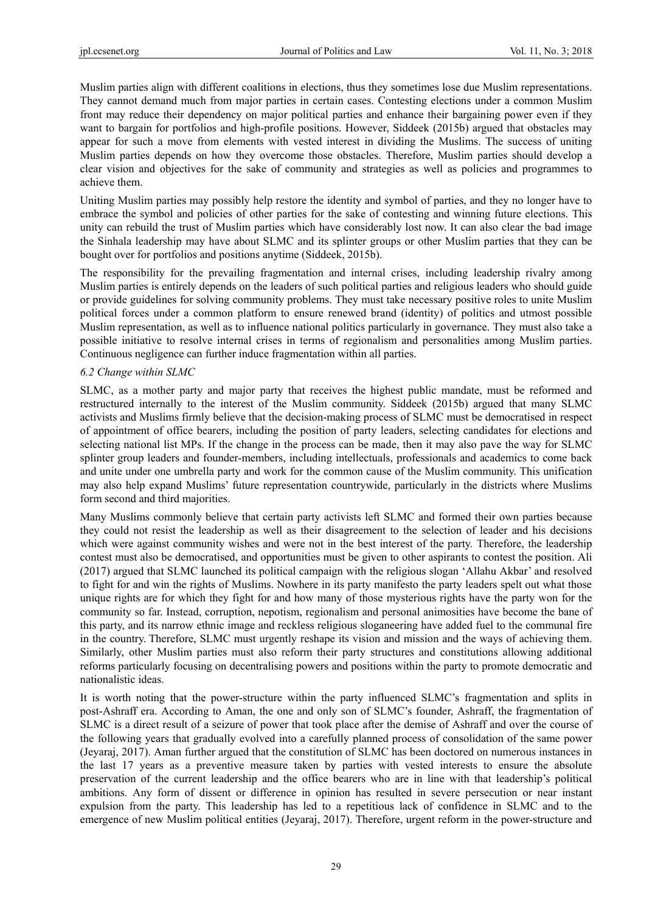Muslim parties align with different coalitions in elections, thus they sometimes lose due Muslim representations. They cannot demand much from major parties in certain cases. Contesting elections under a common Muslim front may reduce their dependency on major political parties and enhance their bargaining power even if they want to bargain for portfolios and high-profile positions. However, Siddeek (2015b) argued that obstacles may appear for such a move from elements with vested interest in dividing the Muslims. The success of uniting Muslim parties depends on how they overcome those obstacles. Therefore, Muslim parties should develop a clear vision and objectives for the sake of community and strategies as well as policies and programmes to achieve them.

Uniting Muslim parties may possibly help restore the identity and symbol of parties, and they no longer have to embrace the symbol and policies of other parties for the sake of contesting and winning future elections. This unity can rebuild the trust of Muslim parties which have considerably lost now. It can also clear the bad image the Sinhala leadership may have about SLMC and its splinter groups or other Muslim parties that they can be bought over for portfolios and positions anytime (Siddeek, 2015b).

The responsibility for the prevailing fragmentation and internal crises, including leadership rivalry among Muslim parties is entirely depends on the leaders of such political parties and religious leaders who should guide or provide guidelines for solving community problems. They must take necessary positive roles to unite Muslim political forces under a common platform to ensure renewed brand (identity) of politics and utmost possible Muslim representation, as well as to influence national politics particularly in governance. They must also take a possible initiative to resolve internal crises in terms of regionalism and personalities among Muslim parties. Continuous negligence can further induce fragmentation within all parties.

#### *6.2 Change within SLMC*

SLMC, as a mother party and major party that receives the highest public mandate, must be reformed and restructured internally to the interest of the Muslim community. Siddeek (2015b) argued that many SLMC activists and Muslims firmly believe that the decision-making process of SLMC must be democratised in respect of appointment of office bearers, including the position of party leaders, selecting candidates for elections and selecting national list MPs. If the change in the process can be made, then it may also pave the way for SLMC splinter group leaders and founder-members, including intellectuals, professionals and academics to come back and unite under one umbrella party and work for the common cause of the Muslim community. This unification may also help expand Muslims' future representation countrywide, particularly in the districts where Muslims form second and third majorities.

Many Muslims commonly believe that certain party activists left SLMC and formed their own parties because they could not resist the leadership as well as their disagreement to the selection of leader and his decisions which were against community wishes and were not in the best interest of the party. Therefore, the leadership contest must also be democratised, and opportunities must be given to other aspirants to contest the position. Ali (2017) argued that SLMC launched its political campaign with the religious slogan 'Allahu Akbar' and resolved to fight for and win the rights of Muslims. Nowhere in its party manifesto the party leaders spelt out what those unique rights are for which they fight for and how many of those mysterious rights have the party won for the community so far. Instead, corruption, nepotism, regionalism and personal animosities have become the bane of this party, and its narrow ethnic image and reckless religious sloganeering have added fuel to the communal fire in the country. Therefore, SLMC must urgently reshape its vision and mission and the ways of achieving them. Similarly, other Muslim parties must also reform their party structures and constitutions allowing additional reforms particularly focusing on decentralising powers and positions within the party to promote democratic and nationalistic ideas.

It is worth noting that the power-structure within the party influenced SLMC's fragmentation and splits in post-Ashraff era. According to Aman, the one and only son of SLMC's founder, Ashraff, the fragmentation of SLMC is a direct result of a seizure of power that took place after the demise of Ashraff and over the course of the following years that gradually evolved into a carefully planned process of consolidation of the same power (Jeyaraj, 2017). Aman further argued that the constitution of SLMC has been doctored on numerous instances in the last 17 years as a preventive measure taken by parties with vested interests to ensure the absolute preservation of the current leadership and the office bearers who are in line with that leadership's political ambitions. Any form of dissent or difference in opinion has resulted in severe persecution or near instant expulsion from the party. This leadership has led to a repetitious lack of confidence in SLMC and to the emergence of new Muslim political entities (Jeyaraj, 2017). Therefore, urgent reform in the power-structure and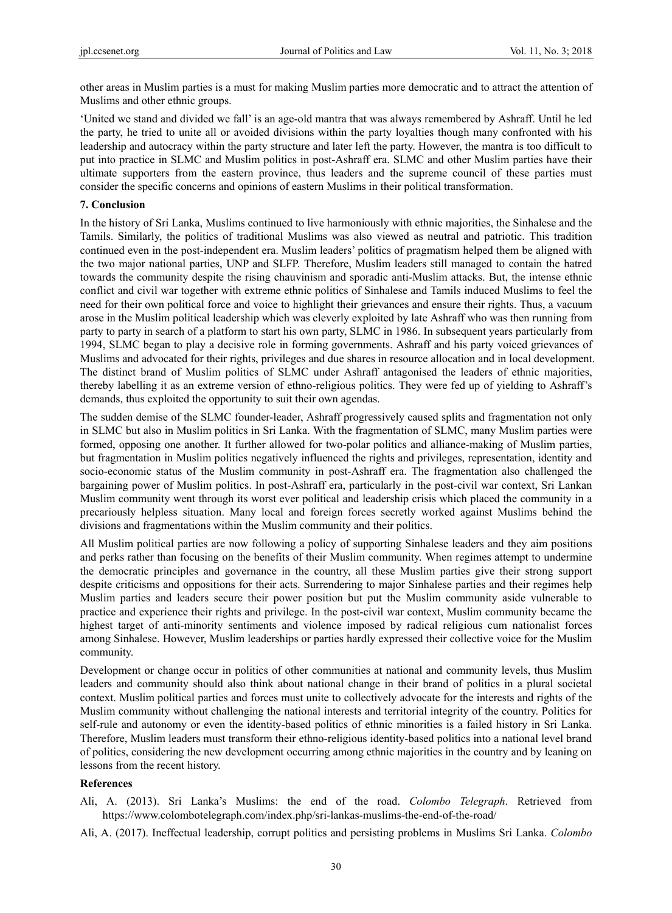other areas in Muslim parties is a must for making Muslim parties more democratic and to attract the attention of Muslims and other ethnic groups.

'United we stand and divided we fall' is an age-old mantra that was always remembered by Ashraff. Until he led the party, he tried to unite all or avoided divisions within the party loyalties though many confronted with his leadership and autocracy within the party structure and later left the party. However, the mantra is too difficult to put into practice in SLMC and Muslim politics in post-Ashraff era. SLMC and other Muslim parties have their ultimate supporters from the eastern province, thus leaders and the supreme council of these parties must consider the specific concerns and opinions of eastern Muslims in their political transformation.

#### **7. Conclusion**

In the history of Sri Lanka, Muslims continued to live harmoniously with ethnic majorities, the Sinhalese and the Tamils. Similarly, the politics of traditional Muslims was also viewed as neutral and patriotic. This tradition continued even in the post-independent era. Muslim leaders' politics of pragmatism helped them be aligned with the two major national parties, UNP and SLFP. Therefore, Muslim leaders still managed to contain the hatred towards the community despite the rising chauvinism and sporadic anti-Muslim attacks. But, the intense ethnic conflict and civil war together with extreme ethnic politics of Sinhalese and Tamils induced Muslims to feel the need for their own political force and voice to highlight their grievances and ensure their rights. Thus, a vacuum arose in the Muslim political leadership which was cleverly exploited by late Ashraff who was then running from party to party in search of a platform to start his own party, SLMC in 1986. In subsequent years particularly from 1994, SLMC began to play a decisive role in forming governments. Ashraff and his party voiced grievances of Muslims and advocated for their rights, privileges and due shares in resource allocation and in local development. The distinct brand of Muslim politics of SLMC under Ashraff antagonised the leaders of ethnic majorities, thereby labelling it as an extreme version of ethno-religious politics. They were fed up of yielding to Ashraff's demands, thus exploited the opportunity to suit their own agendas.

The sudden demise of the SLMC founder-leader, Ashraff progressively caused splits and fragmentation not only in SLMC but also in Muslim politics in Sri Lanka. With the fragmentation of SLMC, many Muslim parties were formed, opposing one another. It further allowed for two-polar politics and alliance-making of Muslim parties, but fragmentation in Muslim politics negatively influenced the rights and privileges, representation, identity and socio-economic status of the Muslim community in post-Ashraff era. The fragmentation also challenged the bargaining power of Muslim politics. In post-Ashraff era, particularly in the post-civil war context, Sri Lankan Muslim community went through its worst ever political and leadership crisis which placed the community in a precariously helpless situation. Many local and foreign forces secretly worked against Muslims behind the divisions and fragmentations within the Muslim community and their politics.

All Muslim political parties are now following a policy of supporting Sinhalese leaders and they aim positions and perks rather than focusing on the benefits of their Muslim community. When regimes attempt to undermine the democratic principles and governance in the country, all these Muslim parties give their strong support despite criticisms and oppositions for their acts. Surrendering to major Sinhalese parties and their regimes help Muslim parties and leaders secure their power position but put the Muslim community aside vulnerable to practice and experience their rights and privilege. In the post-civil war context, Muslim community became the highest target of anti-minority sentiments and violence imposed by radical religious cum nationalist forces among Sinhalese. However, Muslim leaderships or parties hardly expressed their collective voice for the Muslim community.

Development or change occur in politics of other communities at national and community levels, thus Muslim leaders and community should also think about national change in their brand of politics in a plural societal context. Muslim political parties and forces must unite to collectively advocate for the interests and rights of the Muslim community without challenging the national interests and territorial integrity of the country. Politics for self-rule and autonomy or even the identity-based politics of ethnic minorities is a failed history in Sri Lanka. Therefore, Muslim leaders must transform their ethno-religious identity-based politics into a national level brand of politics, considering the new development occurring among ethnic majorities in the country and by leaning on lessons from the recent history.

### **References**

- Ali, A. (2013). Sri Lanka's Muslims: the end of the road. *Colombo Telegraph*. Retrieved from https://www.colombotelegraph.com/index.php/sri-lankas-muslims-the-end-of-the-road/
- Ali, A. (2017). Ineffectual leadership, corrupt politics and persisting problems in Muslims Sri Lanka. *Colombo*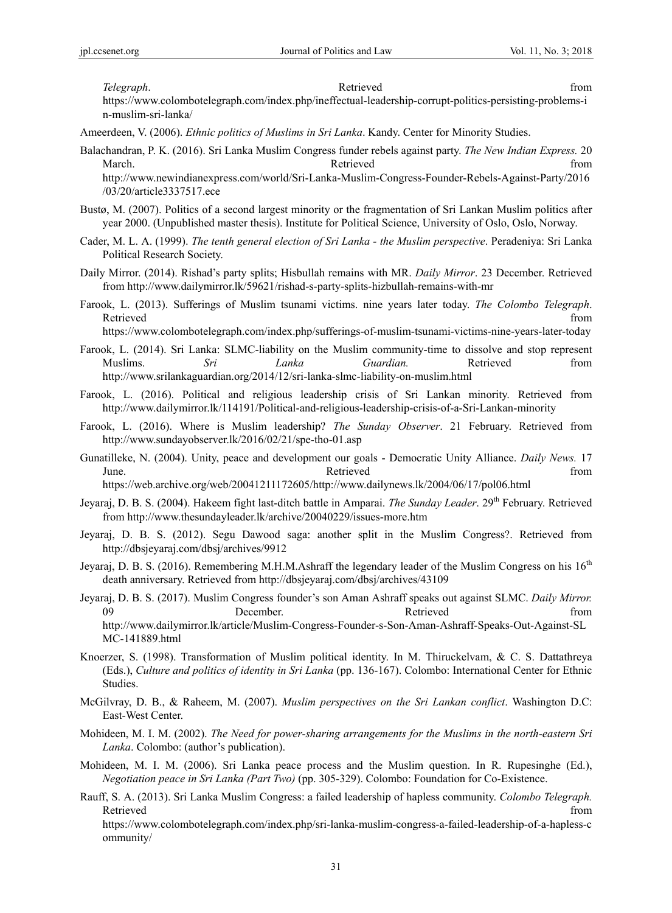**Telegraph. Retrieved** *Retrieved Retrieved Retrieved Retrieved Retrieved Retrieved Retrieved Retrieved Retrieved Retrieved Retrieved Retrieved Retrieved Retrieved*

https://www.colombotelegraph.com/index.php/ineffectual-leadership-corrupt-politics-persisting-problems-i n-muslim-sri-lanka/

Ameerdeen, V. (2006). *Ethnic politics of Muslims in Sri Lanka*. Kandy. Center for Minority Studies.

Balachandran, P. K. (2016). Sri Lanka Muslim Congress funder rebels against party. *The New Indian Express.* 20 March. The contract of the contract of the Retrieved from the contract of the contract of the contract of the contract of the contract of the contract of the contract of the contract of the contract of the contract of the http://www.newindianexpress.com/world/Sri-Lanka-Muslim-Congress-Founder-Rebels-Against-Party/2016

/03/20/article3337517.ece

- Bustø, M. (2007). Politics of a second largest minority or the fragmentation of Sri Lankan Muslim politics after year 2000. (Unpublished master thesis). Institute for Political Science, University of Oslo, Oslo, Norway.
- Cader, M. L. A. (1999). *The tenth general election of Sri Lanka the Muslim perspective*. Peradeniya: Sri Lanka Political Research Society.
- Daily Mirror. (2014). Rishad's party splits; Hisbullah remains with MR. *Daily Mirror*. 23 December. Retrieved from http://www.dailymirror.lk/59621/rishad-s-party-splits-hizbullah-remains-with-mr
- Farook, L. (2013). Sufferings of Muslim tsunami victims. nine years later today. *The Colombo Telegraph*. Retrieved that the contract of the contract of the contract of the contract of the contract of the contract of the contract of the contract of the contract of the contract of the contract of the contract of the contract of

https://www.colombotelegraph.com/index.php/sufferings-of-muslim-tsunami-victims-nine-years-later-today

- Farook, L. (2014). Sri Lanka: SLMC-liability on the Muslim community-time to dissolve and stop represent Muslims. *Sri Lanka Guardian.* Retrieved from http://www.srilankaguardian.org/2014/12/sri-lanka-slmc-liability-on-muslim.html
- Farook, L. (2016). Political and religious leadership crisis of Sri Lankan minority. Retrieved from http://www.dailymirror.lk/114191/Political-and-religious-leadership-crisis-of-a-Sri-Lankan-minority
- Farook, L. (2016). Where is Muslim leadership? *The Sunday Observer*. 21 February. Retrieved from http://www.sundayobserver.lk/2016/02/21/spe-tho-01.asp
- Gunatilleke, N. (2004). Unity, peace and development our goals Democratic Unity Alliance. *Daily News.* 17 June. The contract of the settlement of the settlement of the settlement of the settlement of the settlement of the settlement of the settlement of the settlement of the settlement of the settlement of the settlement of th

https://web.archive.org/web/20041211172605/http://www.dailynews.lk/2004/06/17/pol06.html

- Jeyaraj, D. B. S. (2004). Hakeem fight last-ditch battle in Amparai. *The Sunday Leader*. 29th February. Retrieved from http://www.thesundayleader.lk/archive/20040229/issues-more.htm
- Jeyaraj, D. B. S. (2012). Segu Dawood saga: another split in the Muslim Congress?. Retrieved from http://dbsjeyaraj.com/dbsj/archives/9912
- Jeyaraj, D. B. S. (2016). Remembering M.H.M.Ashraff the legendary leader of the Muslim Congress on his 16<sup>th</sup> death anniversary. Retrieved from http://dbsjeyaraj.com/dbsj/archives/43109
- Jeyaraj, D. B. S. (2017). Muslim Congress founder's son Aman Ashraff speaks out against SLMC. *Daily Mirror.* 09 December. Retrieved from http://www.dailymirror.lk/article/Muslim-Congress-Founder-s-Son-Aman-Ashraff-Speaks-Out-Against-SL MC-141889.html
- Knoerzer, S. (1998). Transformation of Muslim political identity. In M. Thiruckelvam, & C. S. Dattathreya (Eds.), *Culture and politics of identity in Sri Lanka* (pp. 136-167). Colombo: International Center for Ethnic Studies.
- McGilvray, D. B., & Raheem, M. (2007). *Muslim perspectives on the Sri Lankan conflict*. Washington D.C: East-West Center.
- Mohideen, M. I. M. (2002). *The Need for power-sharing arrangements for the Muslims in the north-eastern Sri Lanka*. Colombo: (author's publication).
- Mohideen, M. I. M. (2006). Sri Lanka peace process and the Muslim question. In R. Rupesinghe (Ed.), *Negotiation peace in Sri Lanka (Part Two)* (pp. 305-329). Colombo: Foundation for Co-Existence.
- Rauff, S. A. (2013). Sri Lanka Muslim Congress: a failed leadership of hapless community. *Colombo Telegraph.*  Retrieved that the contract of the contract of the contract of the contract of the contract of the contract of the contract of the contract of the contract of the contract of the contract of the contract of the contract of

https://www.colombotelegraph.com/index.php/sri-lanka-muslim-congress-a-failed-leadership-of-a-hapless-c ommunity/